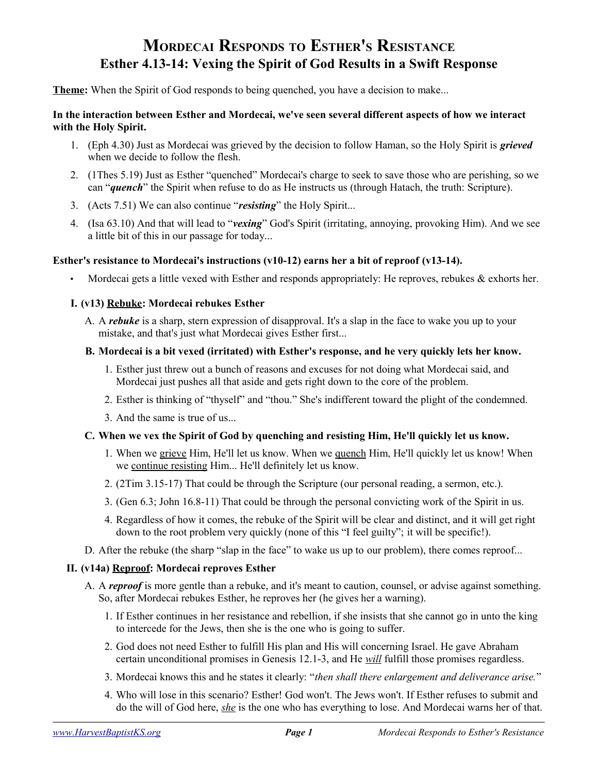# **MORDECAI RESPONDS TO ESTHER'S RESISTANCE Esther 4.13-14: Vexing the Spirit of God Results in a Swift Response**

**Theme:** When the Spirit of God responds to being quenched, you have a decision to make...

#### **In the interaction between Esther and Mordecai, we've seen several different aspects of how we interact with the Holy Spirit.**

- 1. (Eph 4.30) Just as Mordecai was grieved by the decision to follow Haman, so the Holy Spirit is *grieved* when we decide to follow the flesh.
- 2. (1Thes 5.19) Just as Esther "quenched" Mordecai's charge to seek to save those who are perishing, so we can "*quench*" the Spirit when refuse to do as He instructs us (through Hatach, the truth: Scripture).
- 3. (Acts 7.51) We can also continue "*resisting*" the Holy Spirit...
- 4. (Isa 63.10) And that will lead to "*vexing*" God's Spirit (irritating, annoying, provoking Him). And we see a little bit of this in our passage for today...

# **Esther's resistance to Mordecai's instructions (v10-12) earns her a bit of reproof (v13-14).**

Mordecai gets a little vexed with Esther and responds appropriately: He reproves, rebukes & exhorts her.

## **I. (v13) Rebuke: Mordecai rebukes Esther**

A. A *rebuke* is a sharp, stern expression of disapproval. It's a slap in the face to wake you up to your mistake, and that's just what Mordecai gives Esther first...

#### **B. Mordecai is a bit vexed (irritated) with Esther's response, and he very quickly lets her know.**

- 1. Esther just threw out a bunch of reasons and excuses for not doing what Mordecai said, and Mordecai just pushes all that aside and gets right down to the core of the problem.
- 2. Esther is thinking of "thyself" and "thou." She's indifferent toward the plight of the condemned.
- 3. And the same is true of us...

# **C. When we vex the Spirit of God by quenching and resisting Him, He'll quickly let us know.**

- 1. When we grieve Him, He'll let us know. When we quench Him, He'll quickly let us know! When we continue resisting Him... He'll definitely let us know.
- 2. (2Tim 3.15-17) That could be through the Scripture (our personal reading, a sermon, etc.).
- 3. (Gen 6.3; John 16.8-11) That could be through the personal convicting work of the Spirit in us.
- 4. Regardless of how it comes, the rebuke of the Spirit will be clear and distinct, and it will get right down to the root problem very quickly (none of this "I feel guilty"; it will be specific!).
- D. After the rebuke (the sharp "slap in the face" to wake us up to our problem), there comes reproof...

#### **II. (v14a) Reproof: Mordecai reproves Esther**

- A. A *reproof* is more gentle than a rebuke, and it's meant to caution, counsel, or advise against something. So, after Mordecai rebukes Esther, he reproves her (he gives her a warning).
	- 1. If Esther continues in her resistance and rebellion, if she insists that she cannot go in unto the king to intercede for the Jews, then she is the one who is going to suffer.
	- 2. God does not need Esther to fulfill His plan and His will concerning Israel. He gave Abraham certain unconditional promises in Genesis 12.1-3, and He *will* fulfill those promises regardless.
	- 3. Mordecai knows this and he states it clearly: "*then shall there enlargement and deliverance arise.*"
	- 4. Who will lose in this scenario? Esther! God won't. The Jews won't. If Esther refuses to submit and do the will of God here, *she* is the one who has everything to lose. And Mordecai warns her of that.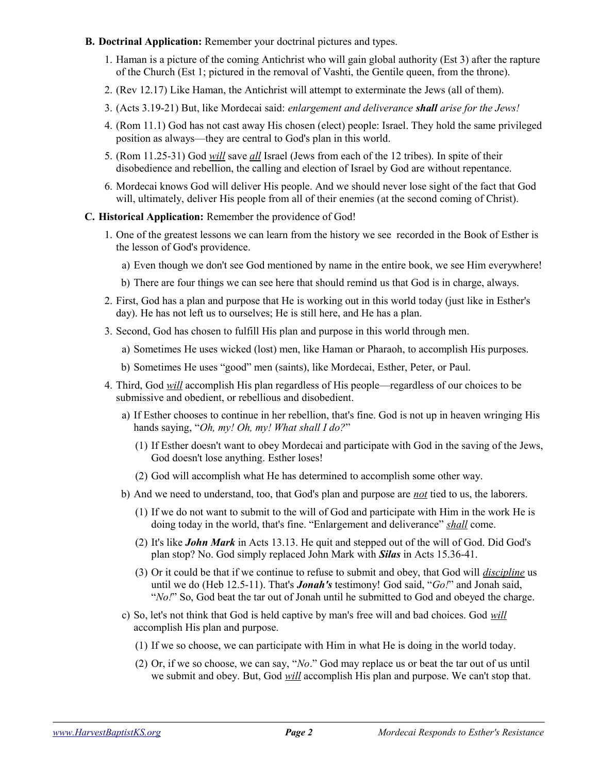- **B. Doctrinal Application:** Remember your doctrinal pictures and types.
	- 1. Haman is a picture of the coming Antichrist who will gain global authority (Est 3) after the rapture of the Church (Est 1; pictured in the removal of Vashti, the Gentile queen, from the throne).
	- 2. (Rev 12.17) Like Haman, the Antichrist will attempt to exterminate the Jews (all of them).
	- 3. (Acts 3.19-21) But, like Mordecai said: *enlargement and deliverance shall arise for the Jews!*
	- 4. (Rom 11.1) God has not cast away His chosen (elect) people: Israel. They hold the same privileged position as always—they are central to God's plan in this world.
	- 5. (Rom 11.25-31) God *will* save *all* Israel (Jews from each of the 12 tribes). In spite of their disobedience and rebellion, the calling and election of Israel by God are without repentance.
	- 6. Mordecai knows God will deliver His people. And we should never lose sight of the fact that God will, ultimately, deliver His people from all of their enemies (at the second coming of Christ).
- **C. Historical Application:** Remember the providence of God!
	- 1. One of the greatest lessons we can learn from the history we see recorded in the Book of Esther is the lesson of God's providence.
		- a) Even though we don't see God mentioned by name in the entire book, we see Him everywhere!
		- b) There are four things we can see here that should remind us that God is in charge, always.
	- 2. First, God has a plan and purpose that He is working out in this world today (just like in Esther's day). He has not left us to ourselves; He is still here, and He has a plan.
	- 3. Second, God has chosen to fulfill His plan and purpose in this world through men.
		- a) Sometimes He uses wicked (lost) men, like Haman or Pharaoh, to accomplish His purposes.
		- b) Sometimes He uses "good" men (saints), like Mordecai, Esther, Peter, or Paul.
	- 4. Third, God *will* accomplish His plan regardless of His people—regardless of our choices to be submissive and obedient, or rebellious and disobedient.
		- a) If Esther chooses to continue in her rebellion, that's fine. God is not up in heaven wringing His hands saying, "*Oh, my! Oh, my! What shall I do?*"
			- (1) If Esther doesn't want to obey Mordecai and participate with God in the saving of the Jews, God doesn't lose anything. Esther loses!
			- (2) God will accomplish what He has determined to accomplish some other way.
		- b) And we need to understand, too, that God's plan and purpose are *not* tied to us, the laborers.
			- (1) If we do not want to submit to the will of God and participate with Him in the work He is doing today in the world, that's fine. "Enlargement and deliverance" *shall* come.
			- (2) It's like *John Mark* in Acts 13.13. He quit and stepped out of the will of God. Did God's plan stop? No. God simply replaced John Mark with *Silas* in Acts 15.36-41.
			- (3) Or it could be that if we continue to refuse to submit and obey, that God will *discipline* us until we do (Heb 12.5-11). That's *Jonah's* testimony! God said, "*Go!*" and Jonah said, "*No!*" So, God beat the tar out of Jonah until he submitted to God and obeyed the charge.
		- c) So, let's not think that God is held captive by man's free will and bad choices. God *will* accomplish His plan and purpose.
			- (1) If we so choose, we can participate with Him in what He is doing in the world today.
			- (2) Or, if we so choose, we can say, "*No*." God may replace us or beat the tar out of us until we submit and obey. But, God *will* accomplish His plan and purpose. We can't stop that.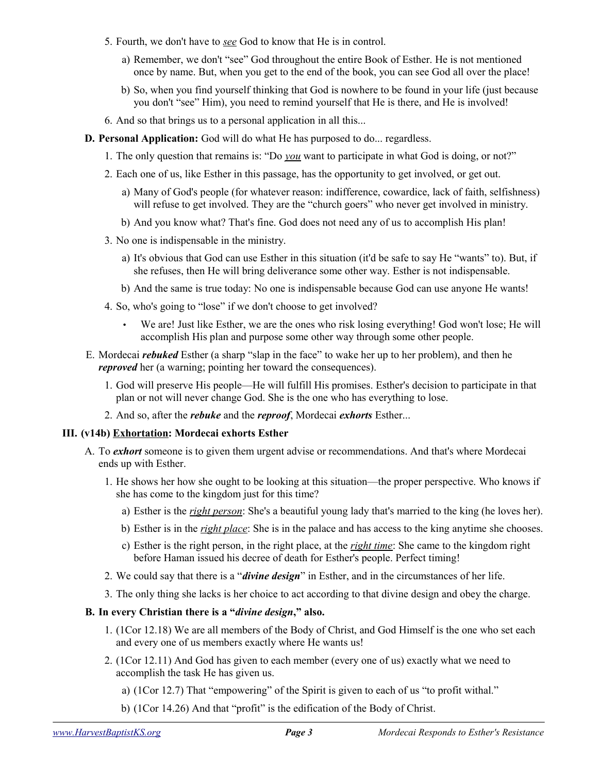- 5. Fourth, we don't have to *see* God to know that He is in control.
	- a) Remember, we don't "see" God throughout the entire Book of Esther. He is not mentioned once by name. But, when you get to the end of the book, you can see God all over the place!
	- b) So, when you find yourself thinking that God is nowhere to be found in your life (just because you don't "see" Him), you need to remind yourself that He is there, and He is involved!
- 6. And so that brings us to a personal application in all this...
- **D. Personal Application:** God will do what He has purposed to do... regardless.
	- 1. The only question that remains is: "Do *you* want to participate in what God is doing, or not?"
	- 2. Each one of us, like Esther in this passage, has the opportunity to get involved, or get out.
		- a) Many of God's people (for whatever reason: indifference, cowardice, lack of faith, selfishness) will refuse to get involved. They are the "church goers" who never get involved in ministry.
		- b) And you know what? That's fine. God does not need any of us to accomplish His plan!
	- 3. No one is indispensable in the ministry.
		- a) It's obvious that God can use Esther in this situation (it'd be safe to say He "wants" to). But, if she refuses, then He will bring deliverance some other way. Esther is not indispensable.
		- b) And the same is true today: No one is indispensable because God can use anyone He wants!
	- 4. So, who's going to "lose" if we don't choose to get involved?
		- We are! Just like Esther, we are the ones who risk losing everything! God won't lose; He will accomplish His plan and purpose some other way through some other people.
- E. Mordecai *rebuked* Esther (a sharp "slap in the face" to wake her up to her problem), and then he *reproved* her (a warning; pointing her toward the consequences).
	- 1. God will preserve His people—He will fulfill His promises. Esther's decision to participate in that plan or not will never change God. She is the one who has everything to lose.
	- 2. And so, after the *rebuke* and the *reproof*, Mordecai *exhorts* Esther...

#### **III. (v14b) Exhortation: Mordecai exhorts Esther**

- A. To *exhort* someone is to given them urgent advise or recommendations. And that's where Mordecai ends up with Esther.
	- 1. He shows her how she ought to be looking at this situation—the proper perspective. Who knows if she has come to the kingdom just for this time?
		- a) Esther is the *right person*: She's a beautiful young lady that's married to the king (he loves her).
		- b) Esther is in the *right place*: She is in the palace and has access to the king anytime she chooses.
		- c) Esther is the right person, in the right place, at the *right time*: She came to the kingdom right before Haman issued his decree of death for Esther's people. Perfect timing!
	- 2. We could say that there is a "*divine design*" in Esther, and in the circumstances of her life.
	- 3. The only thing she lacks is her choice to act according to that divine design and obey the charge.

# **B. In every Christian there is a "***divine design***," also.**

- 1. (1Cor 12.18) We are all members of the Body of Christ, and God Himself is the one who set each and every one of us members exactly where He wants us!
- 2. (1Cor 12.11) And God has given to each member (every one of us) exactly what we need to accomplish the task He has given us.
	- a) (1Cor 12.7) That "empowering" of the Spirit is given to each of us "to profit withal."
	- b) (1Cor 14.26) And that "profit" is the edification of the Body of Christ.